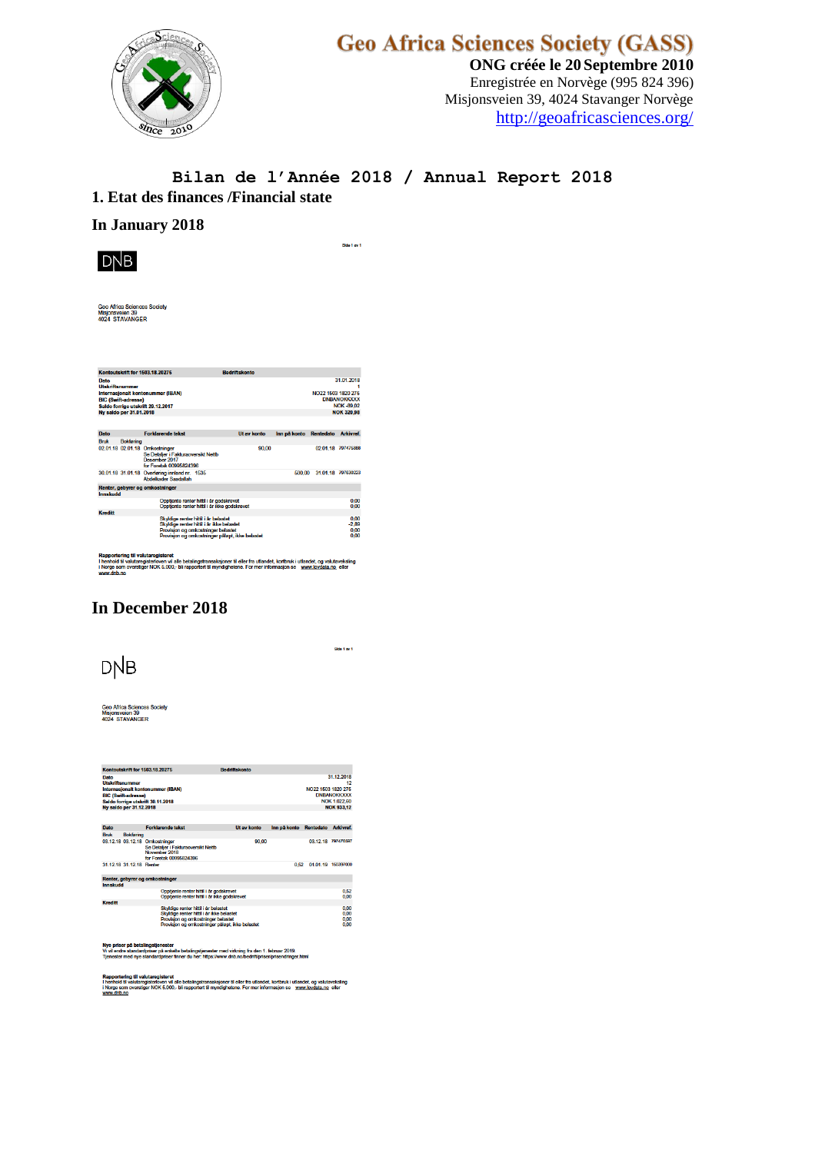

# Geo Africa Sciences Society (GASS)<br>
ONG créée le 20 Septembre 2010

Enregistrée en Norvège (995 824 396) Misjonsveien 39, 4024 Stavanger Norvège <http://geoafricasciences.org/>

#### **Bilan de l'Année 2018 / Annual Report 2018 1. Etat des finances /Financial state**

#### **In January 2018**



Side 1 av 1

Geo Africa Sciences Societ<br>Misjonsveien 39<br>4024 STAVANGER

|                                |                                                       | Kontoutskrift for 1503.18.20275                                                                                                                                            | <b>Bedriftskonto</b> |                                                                                                 |  |                                 |
|--------------------------------|-------------------------------------------------------|----------------------------------------------------------------------------------------------------------------------------------------------------------------------------|----------------------|-------------------------------------------------------------------------------------------------|--|---------------------------------|
| Dato<br><b>Utskriftsnummer</b> | <b>BIC (Swift-adresse)</b><br>Ny saldo per 31.01.2018 | Internasionalt kontonummer (IBAN)<br>Saldo forrige utskrift 29.12.2017                                                                                                     |                      | 31 01 2018<br>NO22 1503 1820 275<br><b>DNRANOKKXXX</b><br><b>NOK-89.02</b><br><b>NOK 320.98</b> |  |                                 |
| Dato                           |                                                       | <b>Forklarende tekst</b>                                                                                                                                                   | <b>Ut av konto</b>   | Inn på konto Rentedato                                                                          |  | Arkivref.                       |
| <b>Book</b>                    | <b>Bokføring</b>                                      |                                                                                                                                                                            |                      |                                                                                                 |  |                                 |
|                                |                                                       | 02.01.18 02.01.18 Omkostninger<br>Se Detalier i Fakturaoversikt Nettb<br>Desember 2017<br>for Foretak 00995824396                                                          | 90.00                |                                                                                                 |  | 02 01 18 797475888              |
|                                |                                                       | 30.01.18 31.01.18 Overføring innland nr. 1535<br><b>Abdelkader Saadallah</b>                                                                                               |                      | 500.00                                                                                          |  | 31.01.18 797630223              |
|                                |                                                       | Renter, gebyrer og omkostninger                                                                                                                                            |                      |                                                                                                 |  |                                 |
| Innskudd                       |                                                       |                                                                                                                                                                            |                      |                                                                                                 |  |                                 |
|                                |                                                       | Opptiente renter hittil i år godskrevet<br>Opptiente renter hittil i år ikke godskrevet                                                                                    |                      |                                                                                                 |  | 0.00<br>0.00                    |
| <b>Kreditt</b>                 |                                                       |                                                                                                                                                                            |                      |                                                                                                 |  |                                 |
|                                |                                                       | Skyldige renter hittil i år belastet<br>Skyldige renter hittil i år ikke belastet<br>Provision og omkostninger belastet<br>Provision og omkostninger påløpt, ikke belastet |                      |                                                                                                 |  | 0.00<br>$-2.89$<br>0.00<br>0.00 |

I henhold<br>i Norge s r til eller fra utlandet, kortbruk i utlandet, og valutaveksling<br>netene. For mer informasjon se - <u>www.lovdata.no</u> -eller

## **In December 2018**

**DNB** 

Side 1 av 1

Geo Africa Sciences<br>Misjonsveien 39<br>4024 STAVANGER

|                                                                                                                                                                   |                          | Kontoutskrift for 1503.18.20275                                                                                                                                            | <b>Bedriftskonto</b> |                                                                                                   |           |                                         |
|-------------------------------------------------------------------------------------------------------------------------------------------------------------------|--------------------------|----------------------------------------------------------------------------------------------------------------------------------------------------------------------------|----------------------|---------------------------------------------------------------------------------------------------|-----------|-----------------------------------------|
| Dato<br><b>Utskriftsnummar</b><br>Internasionalt kontonummer (IBAN)<br><b>BIC (Swift-adresse)</b><br>Saldo forrige utskrift 30.11.2018<br>Ny saldo per 31,12,2018 |                          |                                                                                                                                                                            |                      | 31 12 2018<br>12<br>NO22 1503 1820 275<br><b>DNBANOKKXXX</b><br>NOK 1.022.60<br><b>NOK 933.12</b> |           |                                         |
| Dato                                                                                                                                                              |                          | <b>Forklarende tekst</b>                                                                                                                                                   | <b>Ut av konto</b>   | Inn på konto                                                                                      | Rentedato | Arkivref.                               |
| <b>Bruk</b>                                                                                                                                                       | Bokfaring                |                                                                                                                                                                            |                      |                                                                                                   |           |                                         |
|                                                                                                                                                                   |                          | 03.12.18 03.12.18 Omkostninger<br>Se Detalier i Fakturaoversikt Nettb<br>November 2018<br>for Foretak 00995824396                                                          | 90.00                |                                                                                                   |           | 03 12 18 797476597                      |
|                                                                                                                                                                   | 31 12 18 31 12 18 Ronter |                                                                                                                                                                            |                      | 0.52                                                                                              | 01.01.19  | 150397000                               |
|                                                                                                                                                                   |                          | Renter, gebyrer og omkostninger                                                                                                                                            |                      |                                                                                                   |           |                                         |
| Innskudd                                                                                                                                                          |                          |                                                                                                                                                                            |                      |                                                                                                   |           |                                         |
| Opptiente renter hittil i år godskrevet<br>Opptiente renter hittil i år ikke godskrevet                                                                           |                          |                                                                                                                                                                            |                      |                                                                                                   |           | 0.52<br>0.00                            |
| <b>Kreditt</b>                                                                                                                                                    |                          |                                                                                                                                                                            |                      |                                                                                                   |           |                                         |
|                                                                                                                                                                   |                          | Skyldige renter hittil i år belastet<br>Skyldige renter hittil i år ikke belastet<br>Provision og omkostninger belastet<br>Provision og omkostninger påløpt, ikke belastet |                      |                                                                                                   |           | 0 <sup>00</sup><br>0.00<br>0.00<br>0.00 |

lardpriser på en ster med virkning fra den 1. februar 2019.<br>»://www.dnb.no/bedrift/oriser/orisendringe

egnaamen.<br>rloven vil alle betalingstransaksjoner til eller fra utlandet, kortbruk i utlandet, og valutaveksling<br>IOK 5.000,- bli rapportert til myndighetene. For mer informasjon se – <u>www.lovdata.no.</u> eller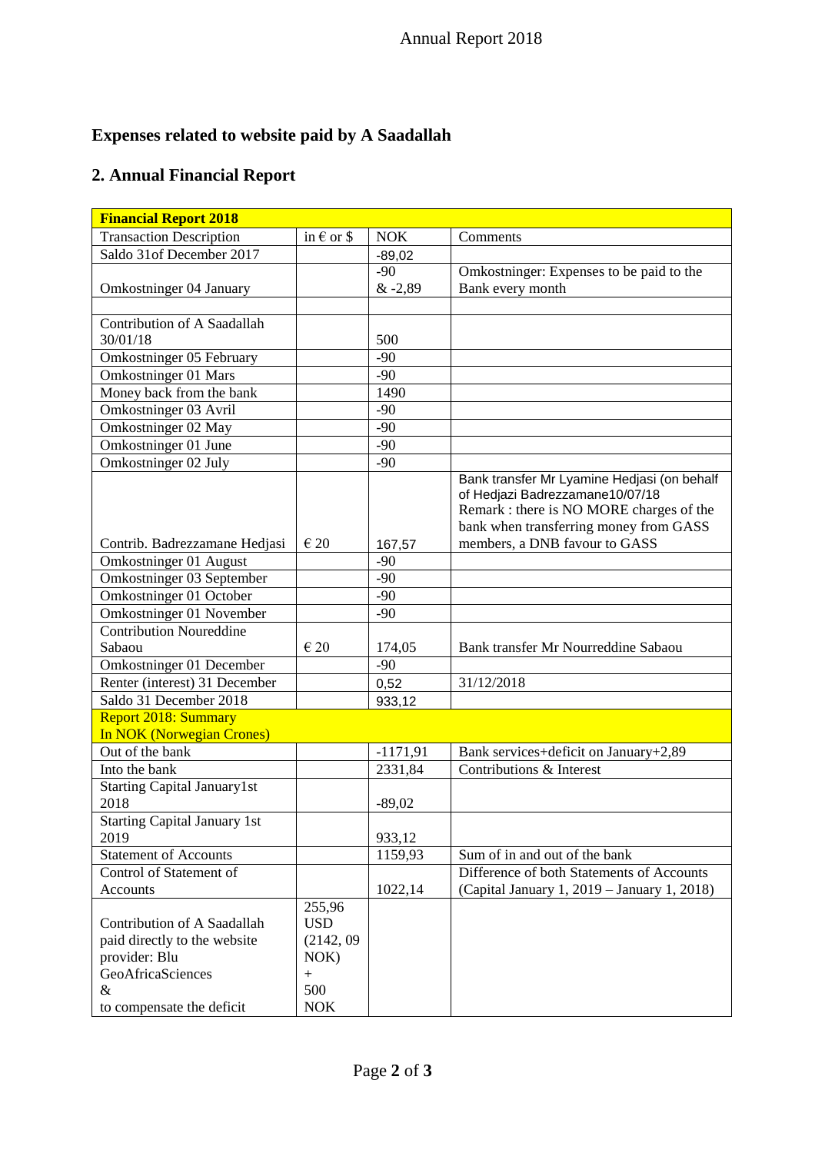# **Expenses related to website paid by A Saadallah**

## **2. Annual Financial Report**

| <b>Financial Report 2018</b>                                                                      |                                               |                 |                                                                                                                                                                      |  |  |  |
|---------------------------------------------------------------------------------------------------|-----------------------------------------------|-----------------|----------------------------------------------------------------------------------------------------------------------------------------------------------------------|--|--|--|
| <b>Transaction Description</b>                                                                    | in $\epsilon$ or \$                           | <b>NOK</b>      | Comments                                                                                                                                                             |  |  |  |
| Saldo 31of December 2017                                                                          |                                               | $-89,02$        |                                                                                                                                                                      |  |  |  |
|                                                                                                   |                                               | $-90$           | Omkostninger: Expenses to be paid to the                                                                                                                             |  |  |  |
| Omkostninger 04 January                                                                           |                                               | & -2,89         | Bank every month                                                                                                                                                     |  |  |  |
|                                                                                                   |                                               |                 |                                                                                                                                                                      |  |  |  |
| Contribution of A Saadallah                                                                       |                                               |                 |                                                                                                                                                                      |  |  |  |
| 30/01/18                                                                                          |                                               | 500             |                                                                                                                                                                      |  |  |  |
| Omkostninger 05 February                                                                          |                                               | $-90$           |                                                                                                                                                                      |  |  |  |
| Omkostninger 01 Mars                                                                              |                                               | $-90$           |                                                                                                                                                                      |  |  |  |
| Money back from the bank                                                                          |                                               | 1490            |                                                                                                                                                                      |  |  |  |
| Omkostninger 03 Avril                                                                             |                                               | $-90$           |                                                                                                                                                                      |  |  |  |
| Omkostninger 02 May                                                                               |                                               | $-90$           |                                                                                                                                                                      |  |  |  |
| Omkostninger 01 June                                                                              |                                               | $-90$           |                                                                                                                                                                      |  |  |  |
| Omkostninger 02 July                                                                              |                                               | $-90$           |                                                                                                                                                                      |  |  |  |
|                                                                                                   |                                               |                 | Bank transfer Mr Lyamine Hedjasi (on behalf<br>of Hedjazi Badrezzamane10/07/18<br>Remark : there is NO MORE charges of the<br>bank when transferring money from GASS |  |  |  |
| Contrib. Badrezzamane Hedjasi                                                                     | $\epsilon$ 20                                 | 167,57          | members, a DNB favour to GASS                                                                                                                                        |  |  |  |
| Omkostninger 01 August                                                                            |                                               | $-90$           |                                                                                                                                                                      |  |  |  |
| Omkostninger 03 September                                                                         |                                               | $-90$           |                                                                                                                                                                      |  |  |  |
| Omkostninger 01 October                                                                           |                                               | $-90$           |                                                                                                                                                                      |  |  |  |
| Omkostninger 01 November                                                                          |                                               | $-90$           |                                                                                                                                                                      |  |  |  |
| <b>Contribution Noureddine</b>                                                                    | $\in 20$                                      |                 |                                                                                                                                                                      |  |  |  |
| Sabaou<br>Omkostninger 01 December                                                                |                                               | 174,05<br>$-90$ | Bank transfer Mr Nourreddine Sabaou                                                                                                                                  |  |  |  |
| Renter (interest) 31 December                                                                     |                                               |                 | 31/12/2018                                                                                                                                                           |  |  |  |
| Saldo 31 December 2018                                                                            |                                               | 0,52            |                                                                                                                                                                      |  |  |  |
| <b>Report 2018: Summary</b>                                                                       |                                               | 933,12          |                                                                                                                                                                      |  |  |  |
| <b>In NOK (Norwegian Crones)</b>                                                                  |                                               |                 |                                                                                                                                                                      |  |  |  |
| Out of the bank                                                                                   |                                               | $-1171,91$      | Bank services+deficit on January+2,89                                                                                                                                |  |  |  |
| Into the bank                                                                                     |                                               | 2331,84         | Contributions & Interest                                                                                                                                             |  |  |  |
| <b>Starting Capital January1st</b>                                                                |                                               |                 |                                                                                                                                                                      |  |  |  |
| 2018                                                                                              |                                               | $-89,02$        |                                                                                                                                                                      |  |  |  |
| <b>Starting Capital January 1st</b>                                                               |                                               |                 |                                                                                                                                                                      |  |  |  |
| 2019                                                                                              |                                               | 933,12          |                                                                                                                                                                      |  |  |  |
| <b>Statement of Accounts</b>                                                                      |                                               | 1159,93         | Sum of in and out of the bank                                                                                                                                        |  |  |  |
| Control of Statement of                                                                           |                                               |                 | Difference of both Statements of Accounts                                                                                                                            |  |  |  |
| Accounts                                                                                          |                                               | 1022,14         | (Capital January 1, 2019 - January 1, 2018)                                                                                                                          |  |  |  |
|                                                                                                   | 255,96                                        |                 |                                                                                                                                                                      |  |  |  |
| Contribution of A Saadallah<br>paid directly to the website<br>provider: Blu<br>GeoAfricaSciences | <b>USD</b><br>(2142, 09)<br>$NOK$ )<br>$^{+}$ |                 |                                                                                                                                                                      |  |  |  |
| &                                                                                                 | 500                                           |                 |                                                                                                                                                                      |  |  |  |
| to compensate the deficit                                                                         | <b>NOK</b>                                    |                 |                                                                                                                                                                      |  |  |  |